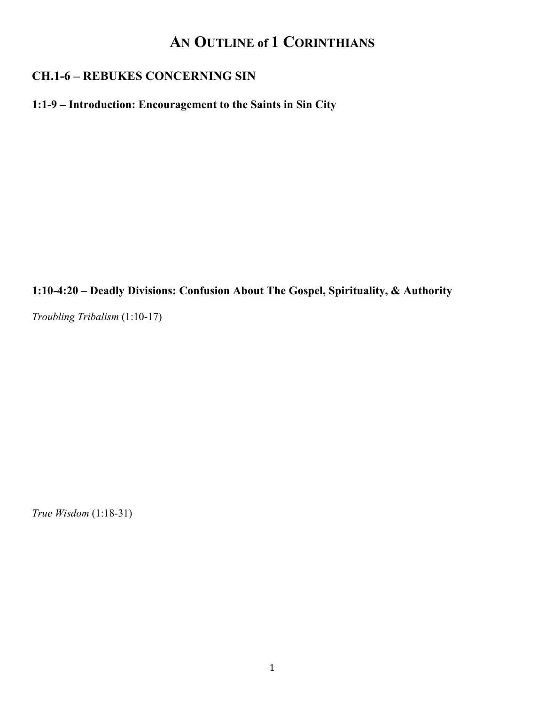# **AN OUTLINE of 1 CORINTHIANS**

## **CH.1-6 – REBUKES CONCERNING SIN**

#### **1:1-9 – Introduction: Encouragement to the Saints in Sin City**

**1:10-4:20 – Deadly Divisions: Confusion About The Gospel, Spirituality, & Authority** 

*Troubling Tribalism* (1:10-17)

*True Wisdom* (1:18-31)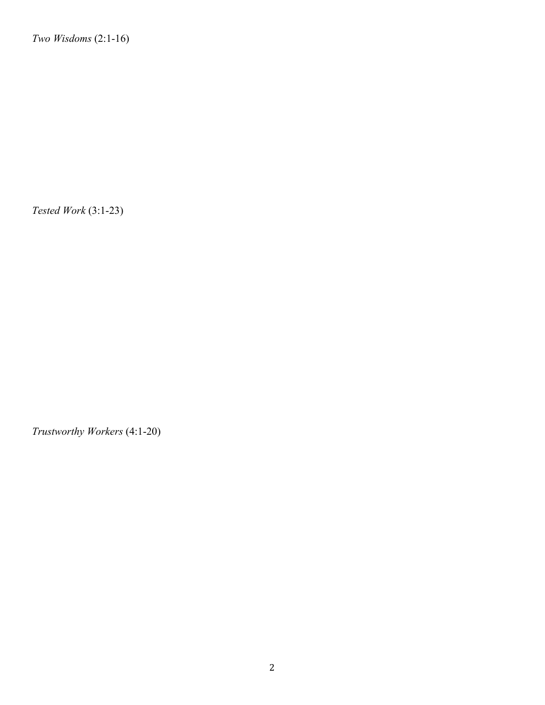*Two Wisdoms* (2:1-16)

*Tested Work* (3:1-23)

*Trustworthy Workers* (4:1-20)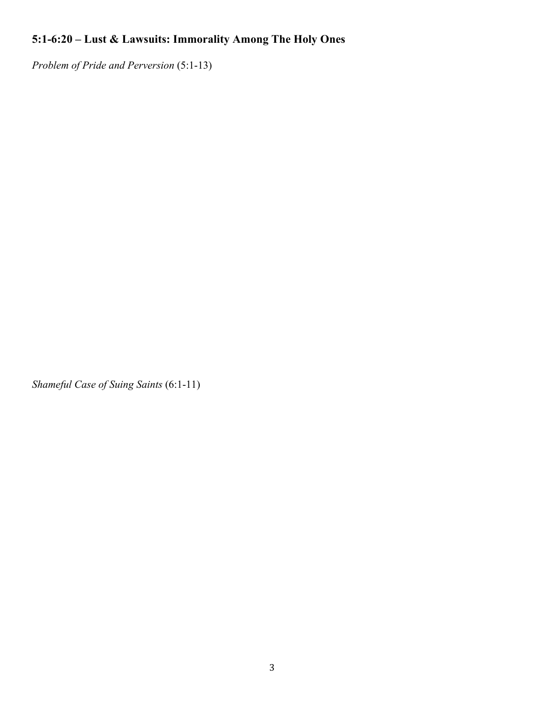## **5:1-6:20 – Lust & Lawsuits: Immorality Among The Holy Ones**

*Problem of Pride and Perversion* (5:1-13)

*Shameful Case of Suing Saints* (6:1-11)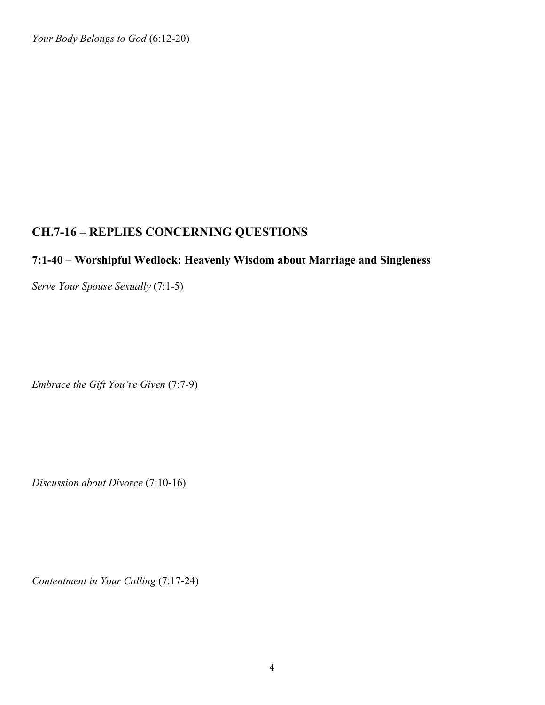*Your Body Belongs to God* (6:12-20)

## **CH.7-16 – REPLIES CONCERNING QUESTIONS**

#### **7:1-40 – Worshipful Wedlock: Heavenly Wisdom about Marriage and Singleness**

*Serve Your Spouse Sexually* (7:1-5)

*Embrace the Gift You're Given* (7:7-9)

*Discussion about Divorce* (7:10-16)

*Contentment in Your Calling* (7:17-24)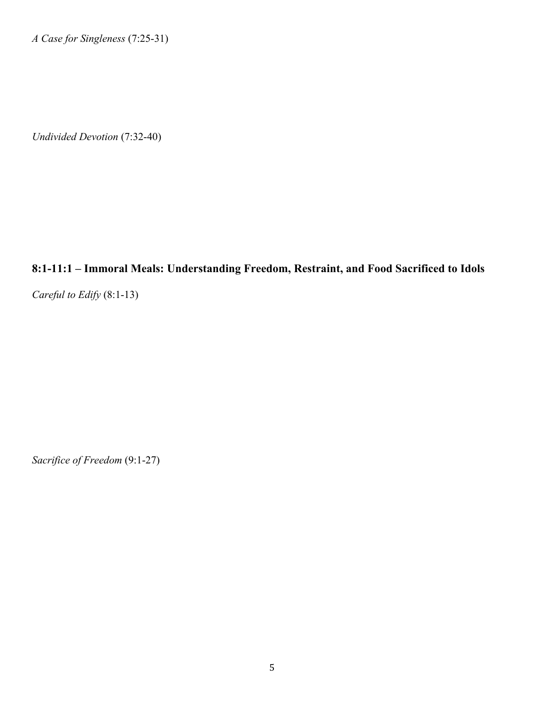*A Case for Singleness* (7:25-31)

*Undivided Devotion* (7:32-40)

#### **8:1-11:1 – Immoral Meals: Understanding Freedom, Restraint, and Food Sacrificed to Idols**

*Careful to Edify* (8:1-13)

*Sacrifice of Freedom* (9:1-27)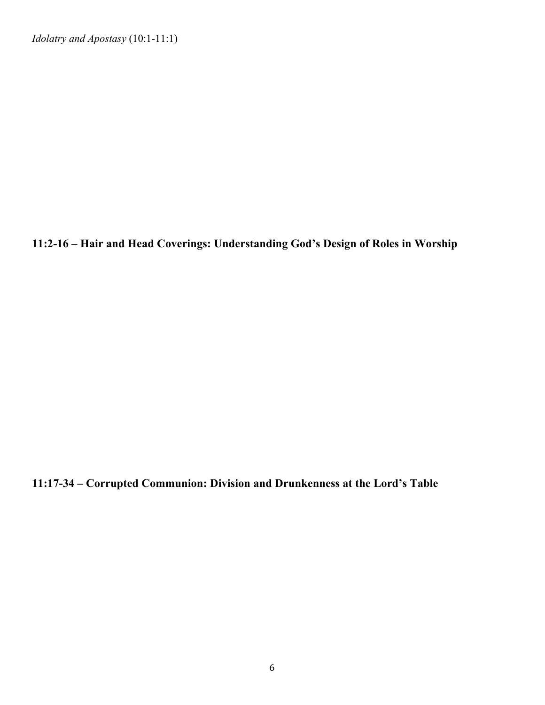*Idolatry and Apostasy* (10:1-11:1)

**11:2-16 – Hair and Head Coverings: Understanding God's Design of Roles in Worship**

**11:17-34 – Corrupted Communion: Division and Drunkenness at the Lord's Table**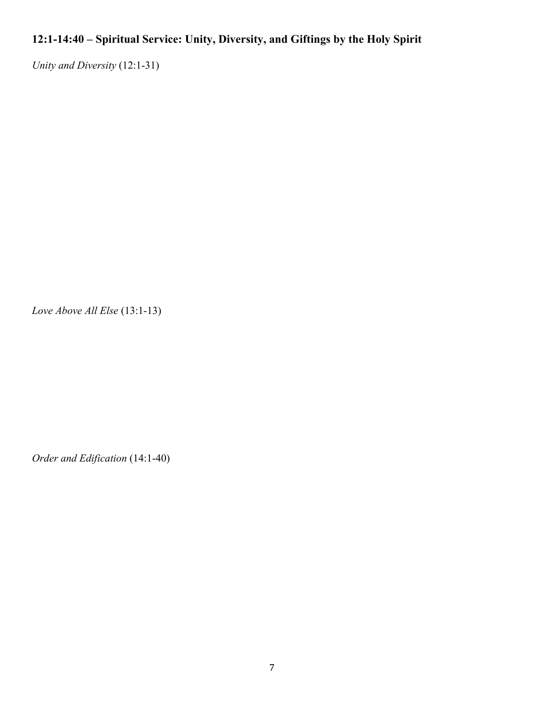## **12:1-14:40 – Spiritual Service: Unity, Diversity, and Giftings by the Holy Spirit**

*Unity and Diversity* (12:1-31)

*Love Above All Else* (13:1-13)

*Order and Edification* (14:1-40)